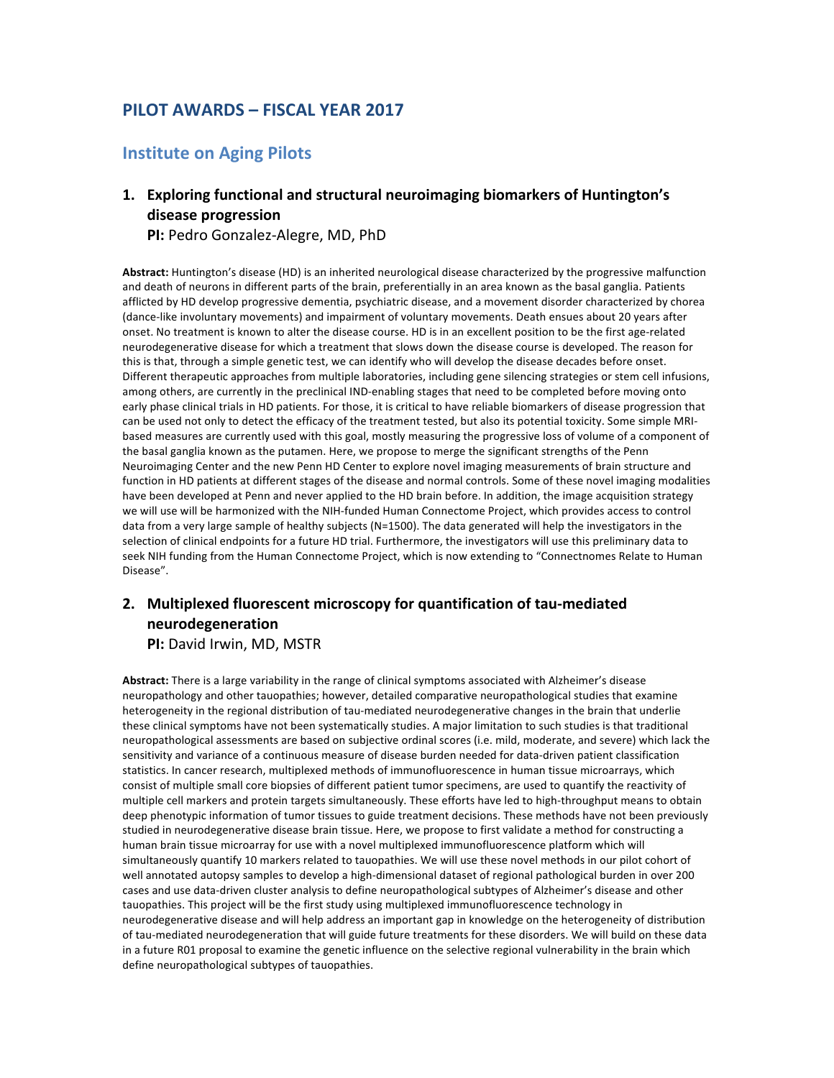## **PILOT AWARDS – FISCAL YEAR 2017**

#### **Institute on Aging Pilots**

#### 1. Exploring functional and structural neuroimaging biomarkers of Huntington's **disease progression**

PI: Pedro Gonzalez-Alegre, MD, PhD

Abstract: Huntington's disease (HD) is an inherited neurological disease characterized by the progressive malfunction and death of neurons in different parts of the brain, preferentially in an area known as the basal ganglia. Patients afflicted by HD develop progressive dementia, psychiatric disease, and a movement disorder characterized by chorea (dance-like involuntary movements) and impairment of voluntary movements. Death ensues about 20 years after onset. No treatment is known to alter the disease course. HD is in an excellent position to be the first age-related neurodegenerative disease for which a treatment that slows down the disease course is developed. The reason for this is that, through a simple genetic test, we can identify who will develop the disease decades before onset. Different therapeutic approaches from multiple laboratories, including gene silencing strategies or stem cell infusions, among others, are currently in the preclinical IND-enabling stages that need to be completed before moving onto early phase clinical trials in HD patients. For those, it is critical to have reliable biomarkers of disease progression that can be used not only to detect the efficacy of the treatment tested, but also its potential toxicity. Some simple MRIbased measures are currently used with this goal, mostly measuring the progressive loss of volume of a component of the basal ganglia known as the putamen. Here, we propose to merge the significant strengths of the Penn Neuroimaging Center and the new Penn HD Center to explore novel imaging measurements of brain structure and function in HD patients at different stages of the disease and normal controls. Some of these novel imaging modalities have been developed at Penn and never applied to the HD brain before. In addition, the image acquisition strategy we will use will be harmonized with the NIH-funded Human Connectome Project, which provides access to control data from a very large sample of healthy subjects (N=1500). The data generated will help the investigators in the selection of clinical endpoints for a future HD trial. Furthermore, the investigators will use this preliminary data to seek NIH funding from the Human Connectome Project, which is now extending to "Connectnomes Relate to Human Disease".

#### 2. Multiplexed fluorescent microscopy for quantification of tau-mediated **neurodegeneration**

**PI:** David Irwin, MD, MSTR

Abstract: There is a large variability in the range of clinical symptoms associated with Alzheimer's disease neuropathology and other tauopathies; however, detailed comparative neuropathological studies that examine heterogeneity in the regional distribution of tau-mediated neurodegenerative changes in the brain that underlie these clinical symptoms have not been systematically studies. A major limitation to such studies is that traditional neuropathological assessments are based on subjective ordinal scores (i.e. mild, moderate, and severe) which lack the sensitivity and variance of a continuous measure of disease burden needed for data-driven patient classification statistics. In cancer research, multiplexed methods of immunofluorescence in human tissue microarrays, which consist of multiple small core biopsies of different patient tumor specimens, are used to quantify the reactivity of multiple cell markers and protein targets simultaneously. These efforts have led to high-throughput means to obtain deep phenotypic information of tumor tissues to guide treatment decisions. These methods have not been previously studied in neurodegenerative disease brain tissue. Here, we propose to first validate a method for constructing a human brain tissue microarray for use with a novel multiplexed immunofluorescence platform which will simultaneously quantify 10 markers related to tauopathies. We will use these novel methods in our pilot cohort of well annotated autopsy samples to develop a high-dimensional dataset of regional pathological burden in over 200 cases and use data-driven cluster analysis to define neuropathological subtypes of Alzheimer's disease and other tauopathies. This project will be the first study using multiplexed immunofluorescence technology in neurodegenerative disease and will help address an important gap in knowledge on the heterogeneity of distribution of tau-mediated neurodegeneration that will guide future treatments for these disorders. We will build on these data in a future R01 proposal to examine the genetic influence on the selective regional vulnerability in the brain which define neuropathological subtypes of tauopathies.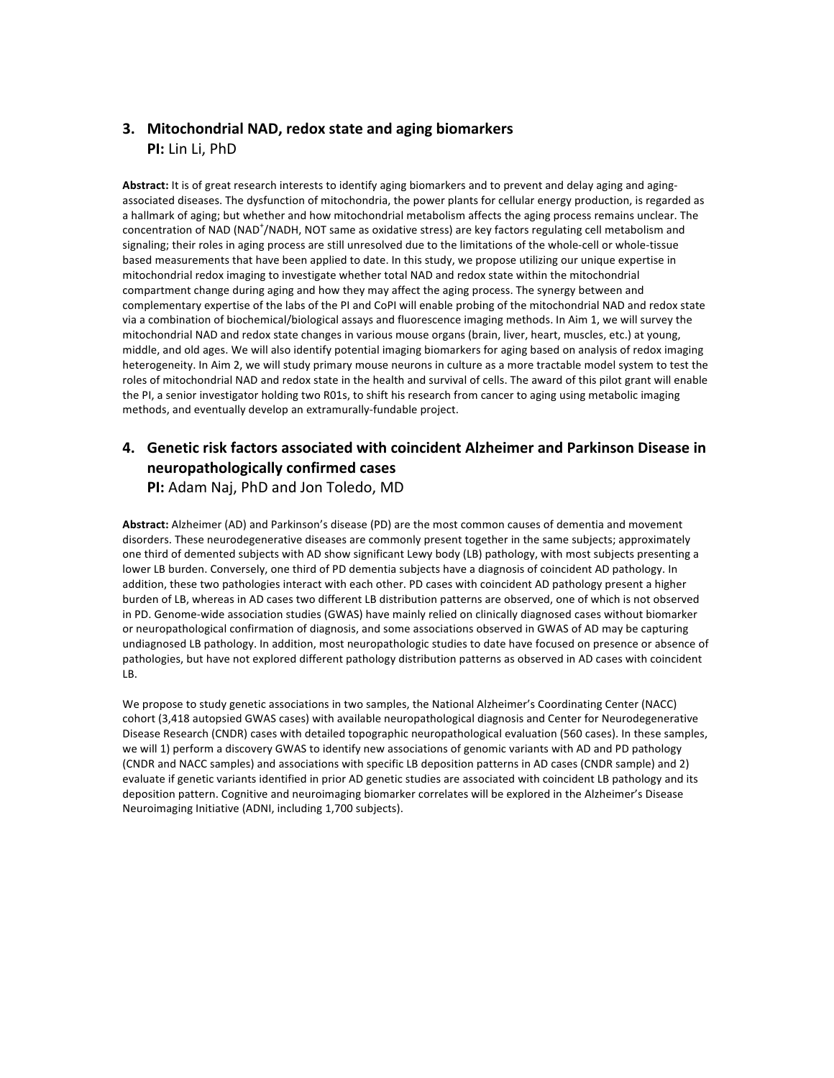#### **3. Mitochondrial NAD, redox state and aging biomarkers PI:** Lin Li, PhD

Abstract: It is of great research interests to identify aging biomarkers and to prevent and delay aging and agingassociated diseases. The dysfunction of mitochondria, the power plants for cellular energy production, is regarded as a hallmark of aging; but whether and how mitochondrial metabolism affects the aging process remains unclear. The concentration of NAD (NAD<sup>+</sup>/NADH, NOT same as oxidative stress) are key factors regulating cell metabolism and signaling; their roles in aging process are still unresolved due to the limitations of the whole-cell or whole-tissue based measurements that have been applied to date. In this study, we propose utilizing our unique expertise in mitochondrial redox imaging to investigate whether total NAD and redox state within the mitochondrial compartment change during aging and how they may affect the aging process. The synergy between and complementary expertise of the labs of the PI and CoPI will enable probing of the mitochondrial NAD and redox state via a combination of biochemical/biological assays and fluorescence imaging methods. In Aim 1, we will survey the mitochondrial NAD and redox state changes in various mouse organs (brain, liver, heart, muscles, etc.) at young, middle, and old ages. We will also identify potential imaging biomarkers for aging based on analysis of redox imaging heterogeneity. In Aim 2, we will study primary mouse neurons in culture as a more tractable model system to test the roles of mitochondrial NAD and redox state in the health and survival of cells. The award of this pilot grant will enable the PI, a senior investigator holding two R01s, to shift his research from cancer to aging using metabolic imaging methods, and eventually develop an extramurally-fundable project.

# **4.** Genetic risk factors associated with coincident Alzheimer and Parkinson Disease in **neuropathologically confirmed cases**

**PI:** Adam Naj, PhD and Jon Toledo, MD

Abstract: Alzheimer (AD) and Parkinson's disease (PD) are the most common causes of dementia and movement disorders. These neurodegenerative diseases are commonly present together in the same subjects; approximately one third of demented subjects with AD show significant Lewy body (LB) pathology, with most subjects presenting a lower LB burden. Conversely, one third of PD dementia subjects have a diagnosis of coincident AD pathology. In addition, these two pathologies interact with each other. PD cases with coincident AD pathology present a higher burden of LB, whereas in AD cases two different LB distribution patterns are observed, one of which is not observed in PD. Genome-wide association studies (GWAS) have mainly relied on clinically diagnosed cases without biomarker or neuropathological confirmation of diagnosis, and some associations observed in GWAS of AD may be capturing undiagnosed LB pathology. In addition, most neuropathologic studies to date have focused on presence or absence of pathologies, but have not explored different pathology distribution patterns as observed in AD cases with coincident LB. 

We propose to study genetic associations in two samples, the National Alzheimer's Coordinating Center (NACC) cohort (3,418 autopsied GWAS cases) with available neuropathological diagnosis and Center for Neurodegenerative Disease Research (CNDR) cases with detailed topographic neuropathological evaluation (560 cases). In these samples, we will 1) perform a discovery GWAS to identify new associations of genomic variants with AD and PD pathology (CNDR and NACC samples) and associations with specific LB deposition patterns in AD cases (CNDR sample) and 2) evaluate if genetic variants identified in prior AD genetic studies are associated with coincident LB pathology and its deposition pattern. Cognitive and neuroimaging biomarker correlates will be explored in the Alzheimer's Disease Neuroimaging Initiative (ADNI, including 1,700 subjects).